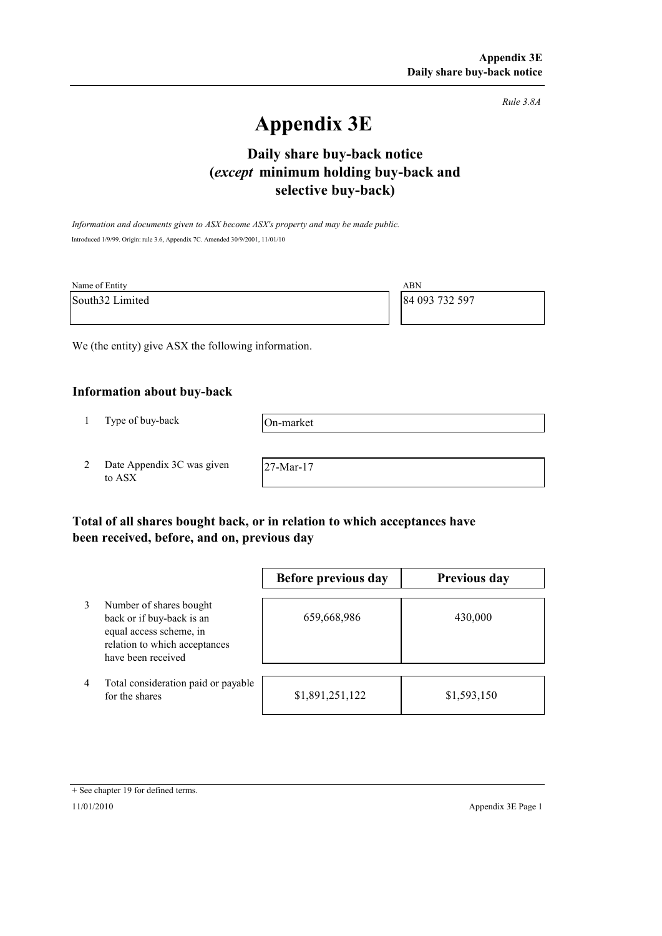*Rule 3.8A*

# **Appendix 3E**

## **selective buy-back) Daily share buy-back notice (***except* **minimum holding buy-back and**

*Information and documents given to ASX become ASX's property and may be made public.* Introduced 1/9/99. Origin: rule 3.6, Appendix 7C. Amended 30/9/2001, 11/01/10

| Name of Entity  | ABN            |
|-----------------|----------------|
| South32 Limited | 84 093 732 597 |

We (the entity) give ASX the following information.

#### **Information about buy-back**

1 Type of buy-back

On-market

2 Date Appendix 3C was given to ASX

27-Mar-17

## **Total of all shares bought back, or in relation to which acceptances have been received, before, and on, previous day**

|   |                                                                                                                                        | Before previous day | Previous day |
|---|----------------------------------------------------------------------------------------------------------------------------------------|---------------------|--------------|
|   | Number of shares bought<br>back or if buy-back is an<br>equal access scheme, in<br>relation to which acceptances<br>have been received | 659,668,986         | 430,000      |
| 4 | Total consideration paid or payable<br>for the shares                                                                                  | \$1,891,251,122     | \$1,593,150  |

#### + See chapter 19 for defined terms.